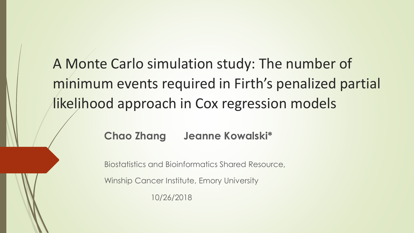A Monte Carlo simulation study: The number of minimum events required in Firth's penalized partial likelihood approach in Cox regression models

#### **Chao Zhang Jeanne Kowalski\***

Biostatistics and Bioinformatics Shared Resource,

Winship Cancer Institute, Emory University

10/26/2018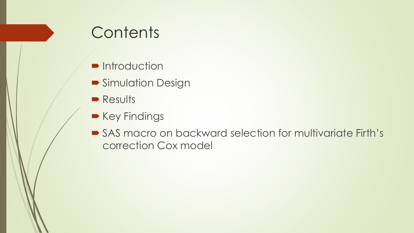## **Contents**

- **•** Introduction
- **Simulation Design**
- **Results**
- Key Findings
- SAS macro on backward selection for multivariate Firth's correction Cox model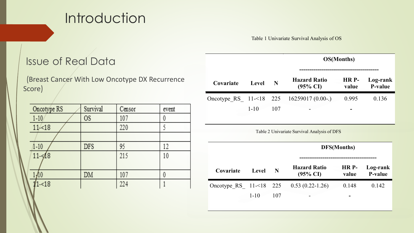### **Introduction**

Table 1 Univariate Survival Analysis of OS

#### Issue of Real Data

(Breast Cancer With Low Oncotype DX Recurrence Score)

| Oncotype RS | Survival  | Censor | event |
|-------------|-----------|--------|-------|
| $1 - 10$    | <b>OS</b> | 107    | 0     |
| 11< 18      |           | 220    |       |
|             |           |        |       |
| 1-10        | DFS       | 95     |       |
| $11 - 48$   |           | 215    | 10    |
|             |           |        |       |
|             | DM        | 107    | 0     |
| 11-<18      |           | 224    |       |

|             |              |     | OS(Months)                                  |                |                            |  |  |
|-------------|--------------|-----|---------------------------------------------|----------------|----------------------------|--|--|
| Covariate   | Level        | N   | <b>Hazard Ratio</b><br>$(95\% \text{ CI})$  | HR P-<br>value | Log-rank<br><b>P-value</b> |  |  |
| Oncotype RS | $11 - 18$    | 225 | $16259017(0.00-.)$                          | 0.995          | 0.136                      |  |  |
|             | $1 - 10$     | 107 |                                             |                |                            |  |  |
|             |              |     |                                             |                |                            |  |  |
|             |              |     | Table 2 Univariate Survival Analysis of DFS |                |                            |  |  |
|             |              |     |                                             | DFS(Months)    |                            |  |  |
| Covariate   | <b>Level</b> | N   | <b>Hazard Ratio</b><br>$(95\% \text{ CI})$  | HR P-<br>value | Log-rank<br>P-value        |  |  |
| Oncotype RS | $11 - 18$    | 225 | $0.53(0.22-1.26)$                           | 0.148          | 0.142                      |  |  |
|             | $1 - 10$     | 107 |                                             |                |                            |  |  |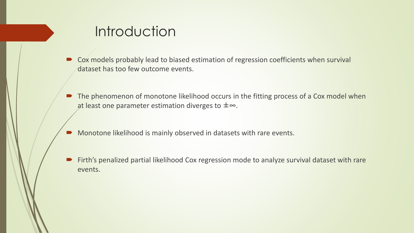### **Introduction**

- Cox models probably lead to biased estimation of regression coefficients when survival dataset has too few outcome events.
- The phenomenon of monotone likelihood occurs in the fitting process of a Cox model when at least one parameter estimation diverges to ±∞.
- **Monotone likelihood is mainly observed in datasets with rare events.**
- Firth's penalized partial likelihood Cox regression mode to analyze survival dataset with rare events.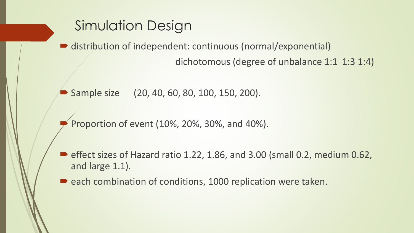### Simulation Design

distribution of independent: continuous (normal/exponential)

dichotomous (degree of unbalance 1:1 1:3 1:4)

Sample size (20, 40, 60, 80, 100, 150, 200).

Proportion of event (10%, 20%, 30%, and 40%).

 $\blacktriangleright$  effect sizes of Hazard ratio 1.22, 1.86, and 3.00 (small 0.2, medium 0.62, and large 1.1).

each combination of conditions, 1000 replication were taken.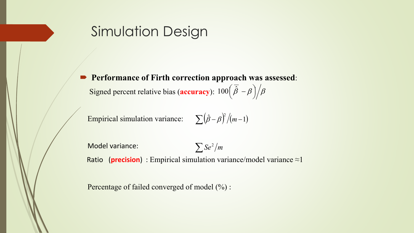#### Simulation Design

 **Performance of Firth correction approach was assessed**: Signed percent relative bias (**accuracy**):  $100(\bar{\hat{\beta}} - \beta)/\beta$  $\setminus$  $100\left(\overline{\hat{\beta}}\right)$  –

Empirical simulation variance:  $\sum (\hat{\beta} - \beta)^2 / (m-1)$ 

Model variance: Ratio (**precision**) : Empirical simulation variance/model variance ≈1  $\sum$ *Se*<sup>2</sup> $/m$ 

Percentage of failed converged of model (%) :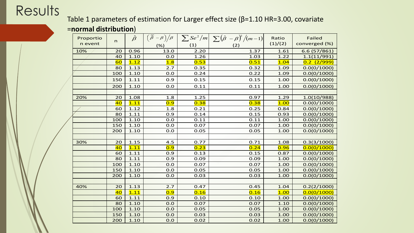#### Results

#### Table 1 parameters of estimation for Larger effect size (β=1.10 HR=3.00, covariate

#### =**normal distribution**)

| Proportio | $\mathsf{n}$ | $\hat{\beta}$ | $\left(\frac{\overline{\beta}}{\hat{\beta}} - \beta\right) / \beta$ |      | $\sum$ Se <sup>2</sup> /m $\sum (\hat{\beta} - \beta)^2/(m-1)$ | Ratio   | <b>Failed</b> |
|-----------|--------------|---------------|---------------------------------------------------------------------|------|----------------------------------------------------------------|---------|---------------|
| n event   |              |               | (% )                                                                | (1)  | (2)                                                            | (1)/(2) | converged (%) |
| 10%       | 20           | 0.96          | 13.0                                                                | 2.20 | 1.37                                                           | 1.61    | 6.6 (57/861)  |
|           | 40           | 1.10          | 0.0                                                                 | 1.26 | 1.03                                                           | 1.22    | 1.1(11/991)   |
|           | 60           | 1.12          | 1.8                                                                 | 0.53 | 0.51                                                           | 1.04    | 0.2(2/999)    |
|           | 80           | 1.13          | 2.7                                                                 | 0.35 | 0.32                                                           | 1.09    | 0.0(0/1000)   |
|           | 100          | 1.10          | 0.0                                                                 | 0.24 | 0.22                                                           | 1.09    | 0.0(0/1000)   |
|           | 150          | 1.11          | 0.9                                                                 | 0.15 | 0.15                                                           | 1.00    | 0.0(0/1000)   |
|           | 200          | 1.10          | 0.0                                                                 | 0.11 | 0.11                                                           | 1.00    | 0.0(0/1000)   |
|           |              |               |                                                                     |      |                                                                |         |               |
| 20%       | 20           | 1.08          | 1.8                                                                 | 1.25 | 0.97                                                           | 1.29    | 1.0(10/988)   |
|           | 40           | 1.11          | 0.9                                                                 | 0.38 | 0.38                                                           | 1.00    | 0.0(0/1000)   |
|           | 60           | 1.12          | 1.8                                                                 | 0.21 | 0.25                                                           | 0.84    | 0.0(0/1000)   |
|           | 80           | 1.11          | 0.9                                                                 | 0.14 | 0.15                                                           | 0.93    | 0.0(0/1000)   |
|           | 100          | 1.10          | 0.0                                                                 | 0.11 | 0.11                                                           | 1.00    | 0.0(0/1000)   |
|           | 150          | 1.10          | 0.0                                                                 | 0.07 | 0.07                                                           | 1.00    | 0.0(0/1000)   |
|           | 200          | 1.10          | 0.0                                                                 | 0.05 | 0.05                                                           | 1.00    | 0.0(0/1000)   |
|           |              |               |                                                                     |      |                                                                |         |               |
| 30%       | 20           | 1.15          | 4.5                                                                 | 0.77 | 0.71                                                           | 1.08    | 0.3(3/1000)   |
|           | 40           | 1.11          | 0.9                                                                 | 0.23 | 0.24                                                           | 0.96    | 0.0(0/1000)   |
|           | 60           | 1.11          | 0.9                                                                 | 0.13 | 0.15                                                           | 0.87    | 0.0(0/1000)   |
|           | 80           | 1.11          | 0.9                                                                 | 0.09 | 0.09                                                           | 1.00    | 0.0(0/1000)   |
|           | 100          | 1.10          | 0.0                                                                 | 0.07 | 0.07                                                           | 1.00    | 0.0(0/1000)   |
|           | 150          | 1.10          | 0.0                                                                 | 0.05 | 0.05                                                           | 1.00    | 0.0(0/1000)   |
|           | 200          | 1.10          | 0.0                                                                 | 0.03 | 0.03                                                           | 1.00    | 0.0(0/1000)   |
|           |              |               |                                                                     |      |                                                                |         |               |
| 40%       | 20           | 1.13          | 2.7                                                                 | 0.47 | 0.45                                                           | 1.04    | 0.2(2/1000)   |
|           | 40           | 1.11          | 0.9                                                                 | 0.16 | 0.16                                                           | 1.00    | 0.0(0/1000)   |
|           | 60           | 1.11          | 0.9                                                                 | 0.10 | 0.10                                                           | 1.00    | 0.0(0/1000)   |
|           | 80           | 1.10          | 0.0                                                                 | 0.07 | 0.07                                                           | 1.10    | 0.0(0/1000)   |
|           | 100          | 1.10          | 0.0                                                                 | 0.05 | 0.05                                                           | 1.00    | 0.0(0/1000)   |
|           | 150          | 1.10          | 0.0                                                                 | 0.03 | 0.03                                                           | 1.00    | 0.0(0/1000)   |
|           | 200          | 1.10          | 0.0                                                                 | 0.02 | 0.02                                                           | 1.00    | 0.0(0/1000)   |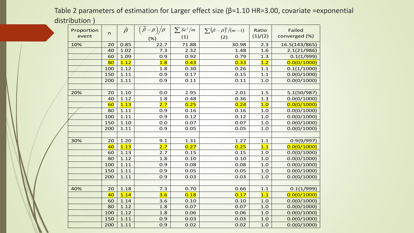Table 2 parameters of estimation for Larger effect size (β=1.10 HR=3.00, covariate =exponential distribution )

| Proportion | n   | $\hat{\beta}$ |      |       | $\left(\frac{\overline{\hat{\beta}} - \beta}{\hat{\beta}} - \frac{\beta}{\beta}\right)$ $\left  \sum S e^2 / m \right  \sum (\hat{\beta} - \beta)^2 / (m - 1)$ | Ratio   | Failed        |
|------------|-----|---------------|------|-------|----------------------------------------------------------------------------------------------------------------------------------------------------------------|---------|---------------|
| event      |     |               | (% ) | (1)   | (2)                                                                                                                                                            | (1)/(2) | converged (%) |
| 10%        | 20  | 0.85          | 22.7 | 71.88 | 30.98                                                                                                                                                          | 2.3     | 16.5(143/865) |
|            | 40  | 1.02          | 7.3  | 2.32  | 1.48                                                                                                                                                           | 1.6     | 2.1(21/986)   |
|            | 60  | 1.09          | 0.9  | 0.92  | 0.79                                                                                                                                                           | 1.3     | 0.1(1/999)    |
|            | 80  | 1.12          | 1.8  | 0.43  | 0.33                                                                                                                                                           | 1.2     | 0.0(0/1000)   |
|            | 100 | 1.12          | 1.8  | 0.30  | 0.26                                                                                                                                                           | $1.1\,$ | 0.1(1/1000)   |
|            | 150 | 1.11          | 0.9  | 0.17  | 0.15                                                                                                                                                           | 1.1     | 0.0(0/1000)   |
|            | 200 | 1.11          | 0.9  | 0.11  | 0.11                                                                                                                                                           | 1.0     | 0.0(0/1000)   |
|            |     |               |      |       |                                                                                                                                                                |         |               |
| 20%        | 20  | 1.10          | 0.0  | 2.95  | 2.01                                                                                                                                                           | 1.5     | 5.1(50/987)   |
|            | 40  | 1.12          | 1.8  | 0.48  | 0.36                                                                                                                                                           | 1.3     | 0.0(0/1000)   |
|            | 60  | 1.13          | 2.7  | 0.25  | 0.24                                                                                                                                                           | 1.0     | 0.0(0/1000)   |
|            | 80  | 1.11          | 0.9  | 0.16  | 0.16                                                                                                                                                           | 1.0     | 0.0(0/1000)   |
|            | 100 | 1.11          | 0.9  | 0.12  | 0.12                                                                                                                                                           | 1.0     | 0.0(0/1000)   |
|            | 150 | 1.10          | 0.0  | 0.07  | 0.07                                                                                                                                                           | 1.0     | 0.0(0/1000)   |
|            | 200 | 1.11          | 0.9  | 0.05  | 0.05                                                                                                                                                           | 1.0     | 0.0(0/1000)   |
|            |     |               |      |       |                                                                                                                                                                |         |               |
| 30%        | 20  | 1.20          | 9.1  | 1.31  | 1.27                                                                                                                                                           | 1.1     | 0.9(9/997)    |
|            | 40  | 1.13          | 2.7  | 0.27  | 0.25                                                                                                                                                           | 1.1     | 0.0(0/1000)   |
|            | 60  | 1.13          | 2.7  | 0.15  | 0.15                                                                                                                                                           | 1.0     | 0.0(0/1000)   |
|            | 80  | 1.12          | 1.8  | 0.10  | 0.10                                                                                                                                                           | 1.0     | 0.0(0/1000)   |
|            | 100 | 1.11          | 0.9  | 0.08  | 0.08                                                                                                                                                           | 1.0     | 0.0(0/1000)   |
|            | 150 | 1.11          | 0.9  | 0.05  | 0.05                                                                                                                                                           | 1.0     | 0.0(0/1000)   |
|            | 200 | 1.11          | 0.9  | 0.03  | 0.03                                                                                                                                                           | 1.0     | 0.0(0/1000)   |
|            |     |               |      |       |                                                                                                                                                                |         |               |
| 40%        | 20  | 1.18          | 7.3  | 0.70  | 0.66                                                                                                                                                           | 1.1     | 0.1(1/999)    |
|            | 40  | 1.14          | 3.6  | 0.18  | 0.17                                                                                                                                                           | 1.1     | 0.0(0/1000)   |
|            | 60  | 1.14          | 3.6  | 0.10  | 0.10                                                                                                                                                           | 1.0     | 0.0(0/1000)   |
|            | 80  | 1.12          | 1.8  | 0.07  | 0.07                                                                                                                                                           | 1.0     | 0.0(0/1000)   |
|            | 100 | 1.12          | 1.8  | 0.06  | 0.06                                                                                                                                                           | 1.0     | 0.0(0/1000)   |
|            | 150 | 1.11          | 0.9  | 0.03  | 0.03                                                                                                                                                           | 1.0     | 0.0(0/1000)   |
|            | 200 | 1.11          | 0.9  | 0.02  | 0.02                                                                                                                                                           | 1.0     | 0.0(0/1000)   |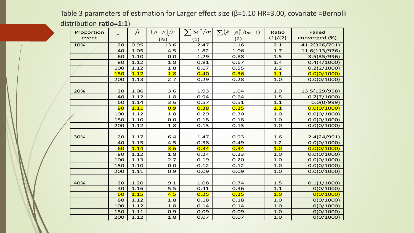Table 3 parameters of estimation for Larger effect size (β=1.10 HR=3.00, covariate =Bernolli distribution **ratio=1:1**)

| Proportion |              | $\hat{\beta}$ | $\left(\overline{\hat{\beta}}-\beta\right)\big/\beta$ |      | $\sum S e^2/m \left  \sum (\hat{\beta}-\beta)^2/(m-1) \right $ | Ratio   | <b>Failed</b> |
|------------|--------------|---------------|-------------------------------------------------------|------|----------------------------------------------------------------|---------|---------------|
| event      | $\mathsf{n}$ |               | (% )                                                  | (1)  | (2)                                                            | (1)/(2) | converged (%) |
| 10%        | 20           | 0.95          | 13.6                                                  | 2.47 | 1.16                                                           | 2.1     | 41.2(326/791) |
|            | 40           | 1.05          | 4.5                                                   | 1.82 | 1.06                                                           | 1.7     | 11.6(113/976) |
|            | 60           | 1.10          | 0.0                                                   | 1.29 | 0.88                                                           | 1.5     | 3.5(35/996)   |
|            | 80           | 1.12          | 1.8                                                   | 0.91 | 0.67                                                           | 1.4     | 0.4(4/1000)   |
|            | 100          | 1.12          | 1.8                                                   | 0.67 | 0.55                                                           | 1.2     | 0.2(2/1000)   |
|            | <b>150</b>   | 1.12          | 1.8                                                   | 0.40 | 0.36                                                           | 1.1     | 0.0(0/1000)   |
|            | 200          | 1.13          | 2.7                                                   | 0.29 | 0.28                                                           | 1.0     | 0.0(0/1000)   |
|            |              |               |                                                       |      |                                                                |         |               |
| 20%        | 20           | 1.06          | 3.6                                                   | 1.93 | 1.04                                                           | 1.9     | 13.5(129/958) |
|            | 40           | 1.12          | 1.8                                                   | 0.94 | 0.64                                                           | 1.5     | 0.7(7/1000)   |
|            | 60           | 1.14          | 3.6                                                   | 0.57 | 0.51                                                           | 1.1     | 0.0(0/999)    |
|            | 80           | 1.11          | 0.9                                                   | 0.38 | 0.35                                                           | 1.1     | 0.0(0/1000)   |
|            | 100          | 1.12          | 1.8                                                   | 0.29 | 0.30                                                           | 1.0     | 0.0(0/1000)   |
|            | 150          | 1.10          | 0.0                                                   | 0.18 | 0.18                                                           | 1.0     | 0.0(0/1000)   |
|            | 200          | 1.12          | 1.8                                                   | 0.13 | 0.13                                                           | 1.0     | 0.0(0/1000)   |
|            |              |               |                                                       |      |                                                                |         |               |
| 30%        | 20           | 1.17          | 6.4                                                   | 1.47 | 0.93                                                           | 1.6     | 2.4(24/991)   |
|            | 40           | 1.15          | 4.5                                                   | 0.58 | 0.49                                                           | 1.2     | 0.0(0/1000)   |
|            | 60           | 1.14          | 3.6                                                   | 0.34 | 0.34                                                           | 1.0     | 0.0(0/1000)   |
|            | 80           | 1.12          | 1.8                                                   | 0.24 | 0.23                                                           | 1.0     | 0.0(0/1000)   |
|            | 100          | 1.13          | 2.7                                                   | 0.19 | 0.20                                                           | 1.0     | 0.0(0/1000)   |
|            | 150          | 1.10          | 0.0                                                   | 0.12 | 0.12                                                           | 1.0     | 0.0(0/1000)   |
|            | 200          | 1.11          | 0.9                                                   | 0.09 | 0.09                                                           | 1.0     | 0.0(0/1000)   |
|            |              |               |                                                       |      |                                                                |         |               |
| 40%        | 20           | 1.20          | 9.1                                                   | 1.08 | 0.74                                                           | 1.5     | 0.1(1/1000)   |
|            | 40           | 1.16          | 5.5                                                   | 0.41 | 0.36                                                           | 1.1     | O(O/1000)     |
|            | 60           | 1.15          | 4.5                                                   | 0.25 | 0.25                                                           | 1.0     | 0(0/1000)     |
|            | 80           | 1.12          | 1.8                                                   | 0.18 | 0.18                                                           | 1.0     | O(O/1000)     |
|            | 100          | 1.12          | 1.8                                                   | 0.14 | 0.14                                                           | 1.0     | O(O/1000)     |
|            | 150          | 1.11          | 0.9                                                   | 0.09 | 0.09                                                           | 1.0     | O(0/1000)     |
|            | 200          | 1.12          | 1.8                                                   | 0.07 | 0.07                                                           | 1.0     | O(O/1000)     |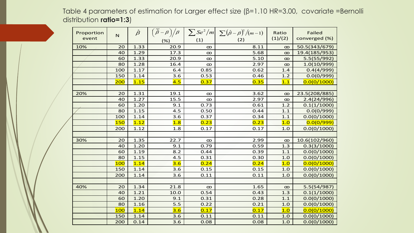Table 4 parameters of estimation for Larger effect size (β=1.10 HR=3.00, covariate =Bernolli distribution **ratio=1:3**)

| Proportion | $\mathsf{N}$ | $\hat{\beta}$ |      |          | $\left  \left( \frac{\overline{\hat{\beta}} - \beta}{\hat{\beta}} - \frac{\beta}{\hat{\beta}} \right  \right  \sum S e^2 / m \left  \sum (\hat{\beta} - \beta)^2 / (m - 1) \right $ | Ratio    | <b>Failed</b> |
|------------|--------------|---------------|------|----------|-------------------------------------------------------------------------------------------------------------------------------------------------------------------------------------|----------|---------------|
| event      |              |               | (% ) | (1)      | (2)                                                                                                                                                                                 | (1)/(2)  | converged (%) |
| 10%        | 20           | 1.33          | 20.9 | $\infty$ | 8.11                                                                                                                                                                                | $\infty$ | 50.5(343/679) |
|            | 40           | 1.29          | 17.3 | $\infty$ | 5.68                                                                                                                                                                                | $\infty$ | 19.4(185/953) |
|            | 60           | 1.33          | 20.9 | $\infty$ | 5.10                                                                                                                                                                                | $\infty$ | 5.5(55/992)   |
|            | 80           | 1.28          | 16.4 | $\infty$ | 2.97                                                                                                                                                                                | $\infty$ | 1.0(10/999)   |
|            | 100          | 1.17          | 6.4  | 0.85     | 0.62                                                                                                                                                                                | 1.4      | 0.4(4/999)    |
|            | 150          | 1.14          | 3.6  | 0.53     | 0.46                                                                                                                                                                                | 1.2      | 0.0(0/999)    |
|            | 200          | 1.15          | 4.5  | 0.37     | 0.35                                                                                                                                                                                | 1.1      | 0.0(0/1000)   |
|            |              |               |      |          |                                                                                                                                                                                     |          |               |
| 20%        | 20           | 1.31          | 19.1 | $\infty$ | 3.62                                                                                                                                                                                | $\infty$ | 23.5(208/885) |
|            | 40           | 1.27          | 15.5 | $\infty$ | 2.97                                                                                                                                                                                | $\infty$ | 2.4(24/996)   |
|            | 60           | 1.20          | 9.1  | 0.73     | 0.61                                                                                                                                                                                | 1.2      | 0.1(1/1000)   |
|            | 80           | 1.15          | 4.5  | 0.50     | 0.44                                                                                                                                                                                | $1.1$    | 0.0(0/999)    |
|            | 100          | 1.14          | 3.6  | 0.37     | 0.34                                                                                                                                                                                | 1.1      | 0.0(0/1000)   |
|            | <b>150</b>   | 1.12          | 1.8  | 0.23     | 0.23                                                                                                                                                                                | 1.0      | 0.0(0/999)    |
|            | 200          | 1.12          | 1.8  | 0.17     | 0.17                                                                                                                                                                                | 1.0      | 0.0(0/1000)   |
|            |              |               |      |          |                                                                                                                                                                                     |          |               |
| 30%        | 20           | 1.35          | 22.7 | $\infty$ | 2.99                                                                                                                                                                                | $\infty$ | 10.6(102/960) |
|            | 40           | 1.20          | 9.1  | 0.79     | 0.59                                                                                                                                                                                | 1.3      | 0.3(3/1000)   |
|            | 60           | 1.19          | 8.2  | 0.44     | 0.39                                                                                                                                                                                | $1.1\,$  | 0.0(0/1000)   |
|            | 80           | 1.15          | 4.5  | 0.31     | 0.30                                                                                                                                                                                | 1.0      | 0.0(0/1000)   |
|            | 100          | 1.14          | 3.6  | 0.24     | 0.24                                                                                                                                                                                | 1.0      | 0.0(0/1000)   |
|            | 150          | 1.14          | 3.6  | 0.15     | 0.15                                                                                                                                                                                | 1.0      | 0.0(0/1000)   |
|            | 200          | 1.14          | 3.6  | 0.11     | 0.11                                                                                                                                                                                | 1.0      | 0.0(0/1000)   |
|            |              |               |      |          |                                                                                                                                                                                     |          |               |
| 40%        | 20           | 1.34          | 21.8 | $\infty$ | 1.65                                                                                                                                                                                | $\infty$ | 5.5(54/987)   |
|            | 40           | 1.21          | 10.0 | 0.54     | 0.43                                                                                                                                                                                | 1.3      | 0.1(1/1000)   |
|            | 60           | 1.20          | 9.1  | 0.31     | 0.28                                                                                                                                                                                | 1.1      | 0.0(0/1000)   |
|            | 80           | 1.16          | 5.5  | 0.22     | 0.21                                                                                                                                                                                | 1.0      | 0.0(0/1000)   |
|            | 100          | 1.14          | 3.6  | 0.17     | 0.17                                                                                                                                                                                | 1.0      | 0.0(0/1000)   |
|            | 150          | 1.14          | 3.6  | 0.11     | 0.11                                                                                                                                                                                | 1.0      | 0.0(0/1000)   |
|            | 200          | 0.14          | 3.6  | 0.08     | 0.08                                                                                                                                                                                | 1.0      | 0.0(0/1000)   |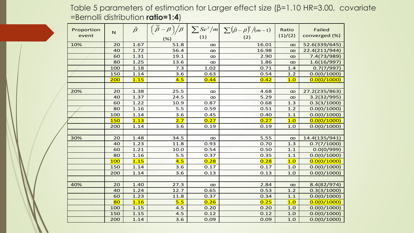Table 5 parameters of estimation for Larger effect size (β=1.10 HR=3.00, covariate =Bernolli distribution **ratio=1:4**)

| Proportion | $\mathsf{N}$ | $\hat{\beta}$ |      |          | $\left(\frac{\overline{\beta}}{-\beta}\right)/\beta$ $\sum$ Se <sup>2</sup> /m $\sum (\hat{\beta}-\beta)^2/(m-1)$ | Ratio    | <b>Failed</b> |
|------------|--------------|---------------|------|----------|-------------------------------------------------------------------------------------------------------------------|----------|---------------|
| event      |              |               | (%)  | (1)      | (2)                                                                                                               | (1)/(2)  | converged (%) |
| 10%        | 20           | 1.67          | 51.8 | $\infty$ | 16.01                                                                                                             | $\infty$ | 52.6(339/645) |
|            | 40           | 1.72          | 56.4 | $\infty$ | 16.98                                                                                                             | $\infty$ | 22.4(211/944) |
|            | 60           | 1.31          | 19.1 | $\infty$ | 2.90                                                                                                              | $\infty$ | 7.4(73/989)   |
|            | 80           | 1.25          | 13.6 | $\infty$ | 1.86                                                                                                              | $\infty$ | 1.6(16/997)   |
|            | 100          | 1.18          | 7.3  | 1.02     | 0.71                                                                                                              | 1.4      | 0.7(7/997)    |
|            | 150          | 1.14          | 3.6  | 0.63     | 0.54                                                                                                              | 1.2      | 0.0(0/1000)   |
|            | 200          | 1.15          | 4.5  | 0.44     | 0.42                                                                                                              | 1.0      | 0.0(0/1000)   |
|            |              |               |      |          |                                                                                                                   |          |               |
| 20%        | 20           | 1.38          | 25.5 | $\infty$ | 4.68                                                                                                              | $\infty$ | 27.2(235/863) |
|            | 40           | 1.37          | 24.5 | $\infty$ | 5.29                                                                                                              | $\infty$ | 3.2(32/995)   |
|            | 60           | 1.22          | 10.9 | 0.87     | 0.68                                                                                                              | 1.3      | 0.3(3/1000)   |
|            | 80           | 1.16          | 5.5  | 0.59     | 0.51                                                                                                              | 1.2      | 0.0(0/1000)   |
|            | 100          | 1.14          | 3.6  | 0.45     | 0.40                                                                                                              | $1.1$    | 0.0(0/1000)   |
|            | <b>150</b>   | 1.13          | 2.7  | 0.27     | 0.27                                                                                                              | 1.0      | 0.0(0/1000)   |
|            | 200          | 1.14          | 3.6  | 0.19     | 0.19                                                                                                              | 1.0      | 0.0(0/1000)   |
|            |              |               |      |          |                                                                                                                   |          |               |
| 30%        | 20           | 1.48          | 34.5 | $\infty$ | 5.55                                                                                                              | $\infty$ | 14.4(135/941) |
|            | 40           | 1.23          | 11.8 | 0.93     | 0.70                                                                                                              | 1.3      | 0.7(7/1000)   |
|            | 60           | 1.21          | 10.0 | 0.54     | 0.50                                                                                                              | 1.1      | 0.0(0/999)    |
|            | 80           | 1.16          | 5.5  | 0.37     | 0.35                                                                                                              | 1.1      | 0.0(0/1000)   |
|            | 100          | 1.15          | 4.5  | 0.28     | 0.28                                                                                                              | 1.0      | 0.0(0/1000)   |
|            | 150          | 1.14          | 3.6  | 0.17     | 0.17                                                                                                              | 1.0      | 0.0(0/1000)   |
|            | 200          | 1.14          | 3.6  | 0.13     | 0.13                                                                                                              | 1.0      | 0.0(0/1000)   |
|            |              |               |      |          |                                                                                                                   |          |               |
| 40%        | 20           | 1.40          | 27.3 | $\infty$ | 2.84                                                                                                              | $\infty$ | 8.4(82/974)   |
|            | 40           | 1.24          | 12.7 | 0.65     | 0.53                                                                                                              | 1.2      | 0.3(3/1000)   |
|            | 60           | 1.23          | 11.8 | 0.37     | 0.34                                                                                                              | $1.1\,$  | 0.0(0/1000)   |
|            | 80           | 1.16          | 5.5  | 0.26     | 0.25                                                                                                              | 1.0      | 0.0(0/1000)   |
|            | 100          | 1.15          | 4.5  | 0.20     | 0.20                                                                                                              | 1.0      | 0.0(0/1000)   |
|            | 150          | 1.15          | 4.5  | 0.12     | 0.12                                                                                                              | 1.0      | 0.0(0/1000)   |
|            | 200          | 1.14          | 3.6  | 0.09     | 0.09                                                                                                              | 1.0      | 0.0(0/1000)   |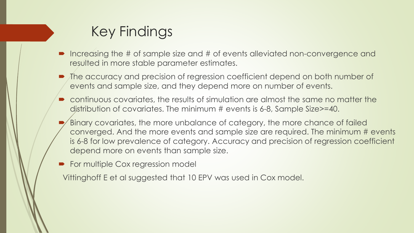## Key Findings

- Increasing the # of sample size and # of events alleviated non-convergence and resulted in more stable parameter estimates.
- $\blacksquare$  The accuracy and precision of regression coefficient depend on both number of events and sample size, and they depend more on number of events.
- continuous covariates, the results of simulation are almost the same no matter the distribution of covariates. The minimum # events is 6-8, Sample Size>=40.
- Binary covariates, the more unbalance of category, the more chance of failed converged. And the more events and sample size are required. The minimum # events is 6-8 for low prevalence of category. Accuracy and precision of regression coefficient depend more on events than sample size.
- For multiple Cox regression model

Vittinghoff E et al suggested that 10 EPV was used in Cox model.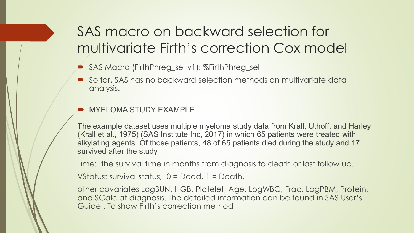## SAS macro on backward selection for multivariate Firth's correction Cox model

- SAS Macro (FirthPhreg\_sel v1): %FirthPhreg\_sel
- So far, SAS has no backward selection methods on multivariate data analysis.

#### MYELOMA STUDY EXAMPLE

The example dataset uses multiple myeloma study data from Krall, Uthoff, and Harley (Krall et al., 1975) (SAS Institute Inc, 2017) in which 65 patients were treated with alkylating agents. Of those patients, 48 of 65 patients died during the study and 17 survived after the study.

Time: the survival time in months from diagnosis to death or last follow up.

VStatus: survival status, 0 = Dead, 1 = Death.

other covariates LogBUN, HGB, Platelet, Age, LogWBC, Frac, LogPBM, Protein, and SCalc at diagnosis. The detailed information can be found in SAS User's Guide . To show Firth's correction method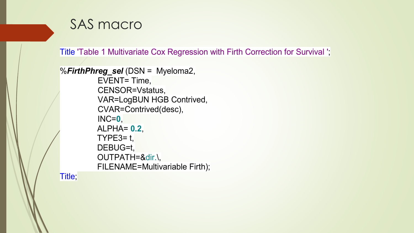#### SAS macro

Title 'Table 1 Multivariate Cox Regression with Firth Correction for Survival ';

```
%FirthPhreg_sel (DSN = Myeloma2, 
 EVENT= Time, 
 CENSOR=Vstatus, 
 VAR=LogBUN HGB Contrived, 
 CVAR=Contrived(desc),
 INC=0,
 ALPHA= 0.2,
TYPE3= t,DEBUG=t,
 OUTPATH=&dir.\,
FILENAME=Multivariable Firth);
```
Title;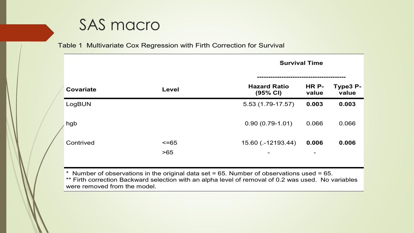### SAS macro

#### Table 1 Multivariate Cox Regression with Firth Correction for Survival

|                  |                     | <b>Survival Time</b>                 |                                   |                   |  |  |  |
|------------------|---------------------|--------------------------------------|-----------------------------------|-------------------|--|--|--|
| <b>Covariate</b> | Level               | <b>Hazard Ratio</b><br>(95% CI)      | HR P-<br>value                    | Type3 P-<br>value |  |  |  |
| LogBUN           |                     | 5.53 (1.79-17.57)                    | 0.003                             | 0.003             |  |  |  |
| hgb              |                     | $0.90(0.79-1.01)$                    | 0.066                             | 0.066             |  |  |  |
| Contrived        | $\leq$ =65<br>$>65$ | 15.60 (.-12193.44)<br>$\blacksquare$ | 0.006<br>$\overline{\phantom{m}}$ | 0.006             |  |  |  |

 $*$  Number of observations in the original data set = 65. Number of observations used = 65. \*\* Firth correction Backward selection with an alpha level of removal of 0.2 was used. No variables were removed from the model.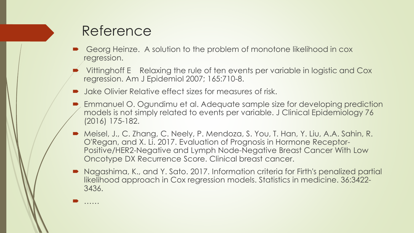#### Reference

……

- Georg Heinze. A solution to the problem of monotone likelihood in cox regression.
- Vittinghoff E Relaxing the rule of ten events per variable in logistic and Cox regression. Am J Epidemiol 2007; 165:710-8.
- Jake Olivier Relative effect sizes for measures of risk.
- Emmanuel O. Ogundimu et al. Adequate sample size for developing prediction models is not simply related to events per variable. J Clinical Epidemiology 76 (2016) 175-182.
- Meisel, J., C. Zhang, C. Neely, P. Mendoza, S. You, T. Han, Y. Liu, A.A. Sahin, R. O'Regan, and X. Li. 2017. Evaluation of Prognosis in Hormone Receptor-Positive/HER2-Negative and Lymph Node-Negative Breast Cancer With Low Oncotype DX Recurrence Score. Clinical breast cancer.
- Nagashima, K., and Y. Sato. 2017. Information criteria for Firth's penalized partial likelihood approach in Cox regression models. Statistics in medicine. 36:3422- 3436.